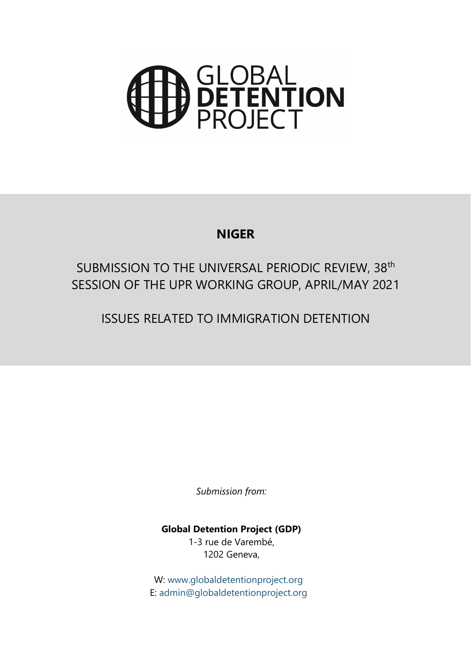# **SLOBAL<br>PETENTION<br>PROJECT**

# **NIGER**

# SUBMISSION TO THE UNIVERSAL PERIODIC REVIEW, 38<sup>th</sup> SESSION OF THE UPR WORKING GROUP, APRIL/MAY 2021

ISSUES RELATED TO IMMIGRATION DETENTION

*Submission from:*

**Global Detention Project (GDP)** 1-3 rue de Varembé, 1202 Geneva,

W: www.g[lobaldetentionproject.org](http://www.globaldetentionproject.org) E: [admin@globaldetentionproject.org](mailto:admin@globaldetentionproject.org)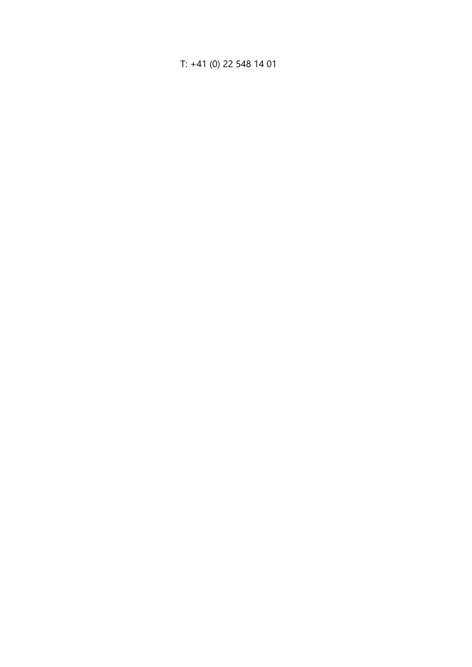## T: +41 (0) 22 548 14 01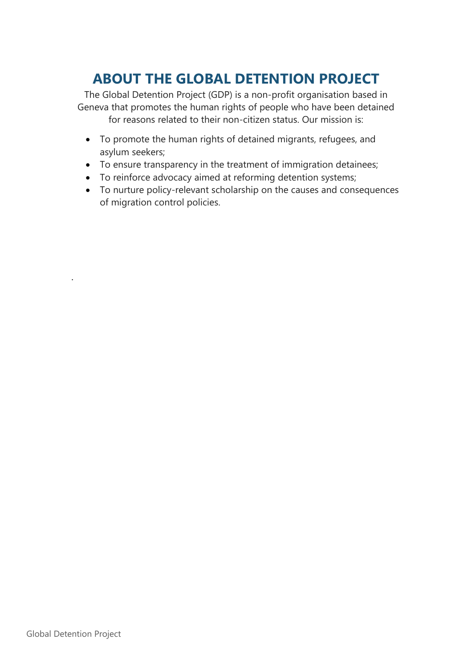# **ABOUT THE GLOBAL DETENTION PROJECT**

The Global Detention Project (GDP) is <sup>a</sup> non-profit organisation based in Geneva that promotes the human rights of people who have been detained for reasons related to their non-citizen status. Our mission is:

- To promote the human rights of detained migrants, refugees, and asylum seekers;
- To ensure transparency in the treatment of immigration detainees;
- To reinforce advocacy aimed at reforming detention systems;
- To nurture policy-relevant scholarship on the causes and consequences of migration control policies.

.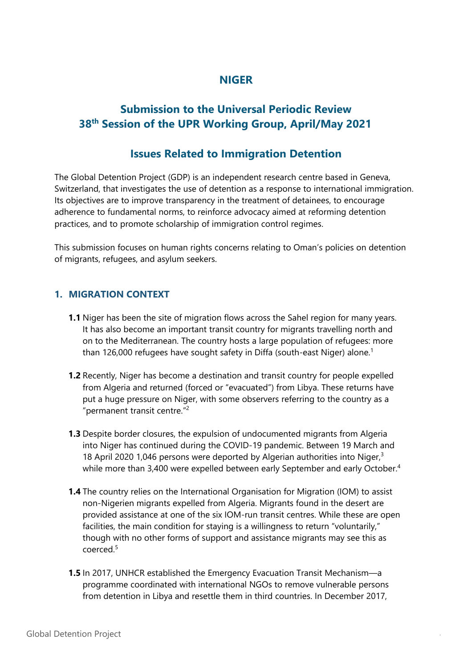# **NIGER**

# **Submission to the Universal Periodic Review 38th Session of the UPR Working Group, April/May 2021**

## **Issues Related to Immigration Detention**

The Global Detention Project (GDP) is an independent research centre based in Geneva, Switzerland, that investigates the use of detention as <sup>a</sup> response to international immigration. Its objectives are to improve transparency in the treatment of detainees, to encourage adherence to fundamental norms, to reinforce advocacy aimed at reforming detention practices, and to promote scholarship of immigration control regimes.

This submission focuses on human rights concerns relating to Oman'<sup>s</sup> policies on detention of migrants, refugees, and asylum seekers.

#### **1. MIGRATION CONTEXT**

- **1.1** Niger has been the site of migration flows across the Sahel region for many years. It has also become an important transit country for migrants travelling north and on to the Mediterranean. The country hosts <sup>a</sup> large population of refugees: more than 126,000 refugees have sought safety in Diffa (south-east Niger) alone. 1
- **1.2** Recently, Niger has become <sup>a</sup> destination and transit country for people expelled from Algeria and returned (forced or "evacuated") from Libya. These returns have put <sup>a</sup> huge pressure on Niger, with some observers referring to the country as <sup>a</sup> "permanent transit centre." 2
- **1.3** Despite border closures, the expulsion of undocumented migrants from Algeria into Niger has continued during the COVID-19 pandemic. Between 19 March and 18 April 2020 1,046 persons were deported by Algerian authorities into Niger,<sup>3</sup> while more than 3,400 were expelled between early September and early October. 4
- **1.4** The country relies on the International Organisation for Migration (IOM) to assist non-Nigerien migrants expelled from Algeria. Migrants found in the desert are provided assistance at one of the six IOM-run transit centres. While these are open facilities, the main condition for staying is <sup>a</sup> willingness to return "voluntarily," though with no other forms of support and assistance migrants may see this as coerced. $^5$
- **1.5** In 2017, UNHCR established the Emergency Evacuation Transit Mechanism—<sup>a</sup> programme coordinated with international NGOs to remove vulnerable persons from detention in Libya and resettle them in third countries. In December 2017,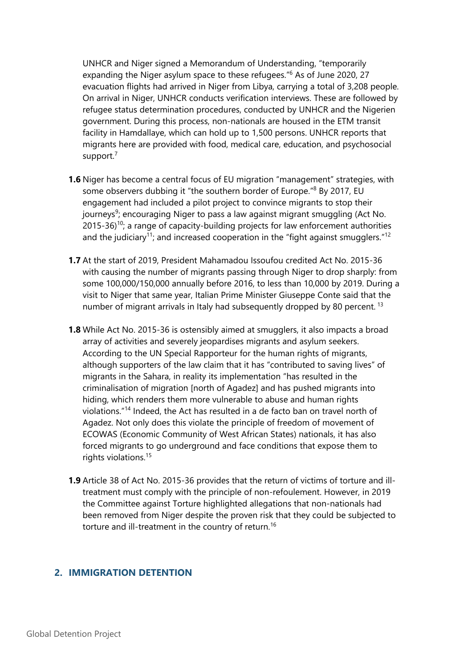UNHCR and Niger signed <sup>a</sup> Memorandum of Understanding, "temporarily expanding the Niger asylum space to these refugees." 6 As of June 2020, 27 evacuation flights had arrived in Niger from Libya, carrying <sup>a</sup> total of 3,208 people. On arrival in Niger, UNHCR conducts verification interviews. These are followed by refugee status determination procedures, conducted by UNHCR and the Nigerien government. During this process, non-nationals are housed in the ETM transit facility in Hamdallaye, which can hold up to 1,500 persons. UNHCR reports that migrants here are provided with food, medical care, education, and psychosocial support.<sup>7</sup>

- **1.6** Niger has become <sup>a</sup> central focus of EU migration "management" strategies, with some observers dubbing it "the southern border of Europe."<sup>8</sup> By 2017, EU engagemen<sup>t</sup> had included <sup>a</sup> pilot project to convince migrants to stop their journeys<sup>9</sup>; encouraging Niger to pass a law against migrant smuggling (Act No. 2015-36)<sup>10</sup>; a range of capacity-building projects for law enforcement authorities and the judiciary $^{\rm 11}$ ; and increased cooperation in the "fight against smugglers." $^{\rm 12}$
- **1.7** At the start of 2019, President Mahamadou Issoufou credited Act No. 2015-36 with causing the number of migrants passing through Niger to drop sharply: from some 100,000/150,000 annually before 2016, to less than 10,000 by 2019. During <sup>a</sup> visit to Niger that same year, Italian Prime Minister Giuseppe Conte said that the number of migrant arrivals in Italy had subsequently dropped by 80 percent.  $^{\rm 13}$
- **1.8** While Act No. 2015-36 is ostensibly aimed at smugglers, it also impacts <sup>a</sup> broad array of activities and severely jeopardises migrants and asylum seekers. According to the UN Special Rapporteur for the human rights of migrants, although supporters of the law claim that it has "contributed to saving lives" of migrants in the Sahara, in reality its implementation "has resulted in the criminalisation of migration [north of Agadez] and has pushed migrants into hiding, which renders them more vulnerable to abuse and human rights violations." 14 Indeed, the Act has resulted in <sup>a</sup> de facto ban on travel north of Agadez. Not only does this violate the principle of freedom of movement of ECOWAS (Economic Community of West African States) nationals, it has also forced migrants to go underground and face conditions that expose them to rights violations. 15
- **1.9** Article 38 of Act No. 2015-36 provides that the return of victims of torture and illtreatment must comply with the principle of non-refoulement. However, in 2019 the Committee against Torture highlighted allegations that non-nationals had been removed from Niger despite the proven risk that they could be subjected to torture and ill-treatment in the country of return. 16

#### **2. IMMIGRATION DETENTION**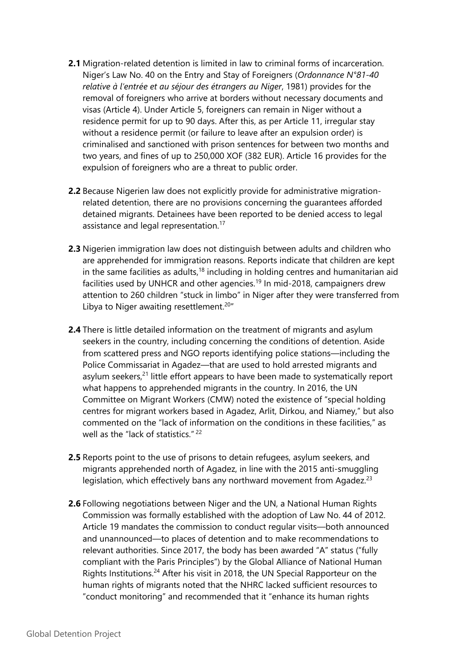- **2.1** Migration-related detention is limited in law to criminal forms of incarceration. Niger'<sup>s</sup> Law No. 40 on the Entry and Stay of Foreigners (*Ordonnance N°81-40 relative à l'entrée et au séjour des étrangers au Niger*, 1981) provides for the removal of foreigners who arrive at borders without necessary documents and visas (Article 4). Under Article 5, foreigners can remain in Niger without <sup>a</sup> residence permit for up to 90 days. After this, as per Article 11, irregular stay without <sup>a</sup> residence permit (or failure to leave after an expulsion order) is criminalised and sanctioned with prison sentences for between two months and two years, and fines of up to 250,000 XOF (382 EUR). Article 16 provides for the expulsion of foreigners who are <sup>a</sup> threat to public order.
- **2.2** Because Nigerien law does not explicitly provide for administrative migrationrelated detention, there are no provisions concerning the guarantees afforded detained migrants. Detainees have been reported to be denied access to legal assistance and legal representation.<sup>17</sup>
- **2.3** Nigerien immigration law does not distinguish between adults and children who are apprehended for immigration reasons. Reports indicate that children are kept in the same facilities as adults,<sup>18</sup> including in holding centres and humanitarian aid facilities used by UNHCR and other agencies.<sup>19</sup> In mid-2018, campaigners drew attention to 260 children "stuck in limbo" in Niger after they were transferred from Libya to Niger awaiting resettlement.<sup>20</sup>"
- **2.4** There is little detailed information on the treatment of migrants and asylum seekers in the country, including concerning the conditions of detention. Aside from scattered press and NGO reports identifying police stations—including the Police Commissariat in Agadez—that are used to hold arrested migrants and asylum seekers,<sup>21</sup> little effort appears to have been made to systematically report what happens to apprehended migrants in the country. In 2016, the UN Committee on Migrant Workers (CMW) noted the existence of "special holding centres for migrant workers based in Agadez, Arlit, Dirkou, and Niamey," but also commented on the "lack of information on the conditions in these facilities," as well as the "lack of statistics." <sup>22</sup>
- **2.5** Reports point to the use of prisons to detain refugees, asylum seekers, and migrants apprehended north of Agadez, in line with the 2015 anti-smuggling legislation, which effectively bans any northward movement from Agadez.<sup>23</sup>
- **2.6** Following negotiations between Niger and the UN, <sup>a</sup> National Human Rights Commission was formally established with the adoption of Law No. 44 of 2012. Article 19 mandates the commission to conduct regular visits—both announced and unannounced—to places of detention and to make recommendations to relevant authorities. Since 2017, the body has been awarded "A" status ("fully compliant with the Paris Principles") by the Global Alliance of National Human Rights Institutions.<sup>24</sup> After his visit in 2018, the UN Special Rapporteur on the human rights of migrants noted that the NHRC lacked sufficient resources to "conduct monitoring" and recommended that it "enhance its human rights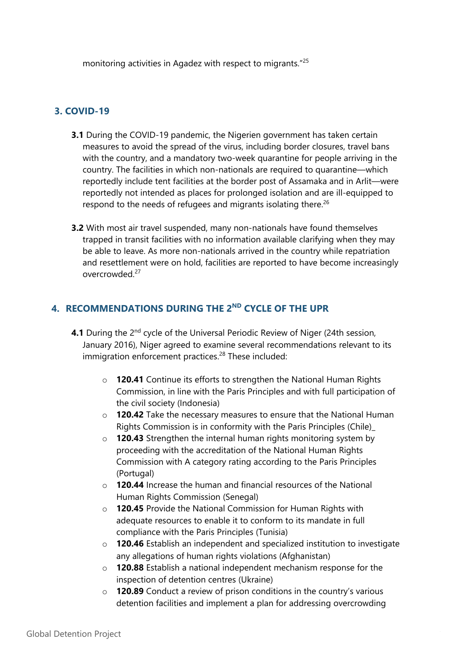monitoring activities in Agadez with respect to migrants." 25

### **3. COVID-19**

- **3.1** During the COVID-19 pandemic, the Nigerien governmen<sup>t</sup> has taken certain measures to avoid the spread of the virus, including border closures, travel bans with the country, and <sup>a</sup> mandatory two-week quarantine for people arriving in the country. The facilities in which non-nationals are required to quarantine—which reportedly include tent facilities at the border post of Assamaka and in Arlit—were reportedly not intended as places for prolonged isolation and are ill-equipped to respond to the needs of refugees and migrants isolating there. $^{26}$
- **3.2** With most air travel suspended, many non-nationals have found themselves trapped in transit facilities with no information available clarifying when they may be able to leave. As more non-nationals arrived in the country while repatriation and resettlement were on hold, facilities are reported to have become increasingly overcrowded.<sup>27</sup>

#### **4. RECOMMENDATIONS DURING THE 2ND CYCLE OF THE UPR**

- **4.1** During the 2<sup>nd</sup> cycle of the Universal Periodic Review of Niger (24th session, January 2016), Niger agreed to examine several recommendations relevant to its immigration enforcement practices. 28 These included:
	- <sup>o</sup> **120.41** Continue its efforts to strengthen the National Human Rights Commission, in line with the Paris Principles and with full participation of the civil society (Indonesia)
	- <sup>o</sup> **120.42** Take the necessary measures to ensure that the National Human Rights Commission is in conformity with the Paris Principles (Chile)\_
	- <sup>o</sup> **120.43** Strengthen the internal human rights monitoring system by proceeding with the accreditation of the National Human Rights Commission with A category rating according to the Paris Principles (Portugal)
	- <sup>o</sup> **120.44** Increase the human and financial resources of the National Human Rights Commission (Senegal)
	- <sup>o</sup> **120.45** Provide the National Commission for Human Rights with adequate resources to enable it to conform to its mandate in full compliance with the Paris Principles (Tunisia)
	- <sup>o</sup> **120.46** Establish an independent and specialized institution to investigate any allegations of human rights violations (Afghanistan)
	- <sup>o</sup> **120.88** Establish <sup>a</sup> national independent mechanism response for the inspection of detention centres (Ukraine)
	- <sup>o</sup> **120.89** Conduct <sup>a</sup> review of prison conditions in the country'<sup>s</sup> various detention facilities and implement <sup>a</sup> plan for addressing overcrowding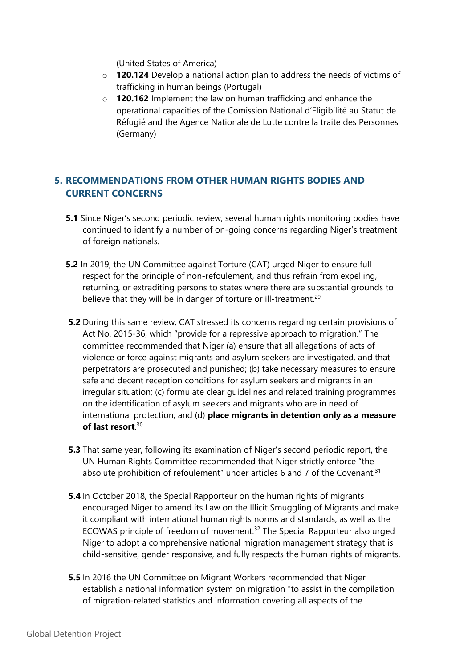(United States of America)

- <sup>o</sup> **120.124** Develop <sup>a</sup> national action plan to address the needs of victims of trafficking in human beings (Portugal)
- <sup>o</sup> **120.162** Implement the law on human trafficking and enhance the operational capacities of the Comission National d'Eligibilité au Statut de Réfugié and the Agence Nationale de Lutte contre la traite des Personnes (Germany)

## **5. RECOMMENDATIONS FROM OTHER HUMAN RIGHTS BODIES AND CURRENT CONCERNS**

- **5.1** Since Niger'<sup>s</sup> second periodic review, several human rights monitoring bodies have continued to identify <sup>a</sup> number of on-going concerns regarding Niger'<sup>s</sup> treatment of foreign nationals.
- **5.2** In 2019, the UN Committee against Torture (CAT) urged Niger to ensure full respect for the principle of non-refoulement, and thus refrain from expelling, returning, or extraditing persons to states where there are substantial grounds to believe that they will be in danger of torture or ill-treatment.<sup>29</sup>
- **5.2** During this same review, CAT stressed its concerns regarding certain provisions of Act No. 2015-36, which "provide for <sup>a</sup> repressive approach to migration." The committee recommended that Niger (a) ensure that all allegations of acts of violence or force against migrants and asylum seekers are investigated, and that perpetrators are prosecuted and punished; (b) take necessary measures to ensure safe and decent reception conditions for asylum seekers and migrants in an irregular situation; (c) formulate clear guidelines and related training programmes on the identification of asylum seekers and migrants who are in need of international protection; and (d) **place migrants in detention only as <sup>a</sup> measure of last resort**. 30
- **5.3** That same year, following its examination of Niger'<sup>s</sup> second periodic report, the UN Human Rights Committee recommended that Niger strictly enforce "the absolute prohibition of refoulement" under articles 6 and 7 of the Covenant. $^{\text{31}}$
- **5.4** In October 2018, the Special Rapporteur on the human rights of migrants encouraged Niger to amend its Law on the Illicit Smuggling of Migrants and make it compliant with international human rights norms and standards, as well as the ECOWAS principle of freedom of movement. 32 The Special Rapporteur also urged Niger to adopt <sup>a</sup> comprehensive national migration managemen<sup>t</sup> strategy that is child-sensitive, gender responsive, and fully respects the human rights of migrants.
- **5.5** In 2016 the UN Committee on Migrant Workers recommended that Niger establish <sup>a</sup> national information system on migration "to assist in the compilation of migration-related statistics and information covering all aspects of the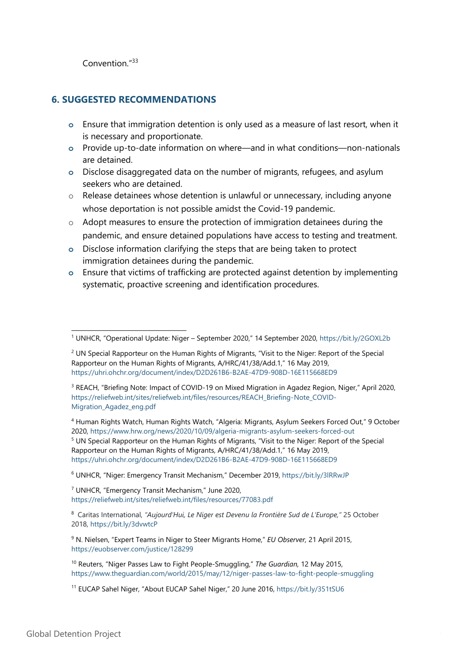Convention."<sup>33</sup>

#### **6. SUGGESTED RECOMMENDATIONS**

- **<sup>o</sup>** Ensure that immigration detention is only used as <sup>a</sup> measure of last resort, when it is necessary and proportionate.
- **<sup>o</sup>** Provide up-to-date information on where—and in what conditions—non-nationals are detained.
- **<sup>o</sup>** Disclose disaggregated data on the number of migrants, refugees, and asylum seekers who are detained.
- <sup>o</sup> Release detainees whose detention is unlawful or unnecessary, including anyone whose deportation is not possible amidst the Covid-19 pandemic.
- $\circ$  Adopt measures to ensure the protection of immigration detainees during the pandemic, and ensure detained populations have access to testing and treatment.
- **<sup>o</sup>** Disclose information clarifying the steps that are being taken to protect immigration detainees during the pandemic.
- **<sup>o</sup>** Ensure that victims of trafficking are protected against detention by implementing systematic, proactive screening and identification procedures.

4 Human Rights Watch, Human Rights Watch, "Algeria: Migrants, Asylum Seekers Forced Out," 9 October 2020, <https://www.hrw.org/news/2020/10/09/algeria-migrants-asylum-seekers-forced-out> <sup>5</sup> UN Special Rapporteur on the Human Rights of Migrants, "Visit to the Niger: Report of the Special Rapporteur on the Human Rights of Migrants, A/HRC/41/38/Add.1," 16 May 2019, <https://uhri.ohchr.org/document/index/D2D261B6-B2AE-47D9-908D-16E115668ED9>

6 UNHCR, "Niger: Emergency Transit Mechanism," December 2019, <https://bit.ly/3lRRwJP>

7 UNHCR, "Emergency Transit Mechanism," June 2020, <https://reliefweb.int/sites/reliefweb.int/files/resources/77083.pdf>

8 Caritas International, *"Aujourd'Hui, Le Niger est Devenu la Frontière Sud de L'Europe,"* 25 October 2018, <https://bit.ly/3dvwtcP>

9 N. Nielsen, "Expert Teams in Niger to Steer Migrants Home," *EU Observer,* 21 April 2015, <https://euobserver.com/justice/128299>

10 Reuters, "Niger Passes Law to Fight People-Smuggling," *The Guardian,* 12 May 2015, <https://www.theguardian.com/world/2015/may/12/niger-passes-law-to-fight-people-smuggling>

<sup>1</sup> UNHCR, "Operational Update: Niger – September 2020," 14 September 2020, <https://bit.ly/2GOXL2b>

<sup>&</sup>lt;sup>2</sup> UN Special Rapporteur on the Human Rights of Migrants, "Visit to the Niger: Report of the Special Rapporteur on the Human Rights of Migrants, A/HRC/41/38/Add.1," 16 May 2019, <https://uhri.ohchr.org/document/index/D2D261B6-B2AE-47D9-908D-16E115668ED9>

<sup>&</sup>lt;sup>3</sup> REACH, "Briefing Note: Impact of COVID-19 on Mixed Migration in Agadez Region, Niger," April 2020, [https://reliefweb.int/sites/reliefweb.int/files/resources/REACH\\_Briefing-Note\\_COVID-](https://reliefweb.int/sites/reliefweb.int/files/resources/REACH_Briefing-Note_COVID-Migration_Agadez_eng.pdf)[Migration\\_Agadez\\_eng.pdf](https://reliefweb.int/sites/reliefweb.int/files/resources/REACH_Briefing-Note_COVID-Migration_Agadez_eng.pdf)

<sup>&</sup>lt;sup>11</sup> EUCAP Sahel Niger, "About EUCAP Sahel Niger," 20 June 2016, <https://bit.ly/351tSU6>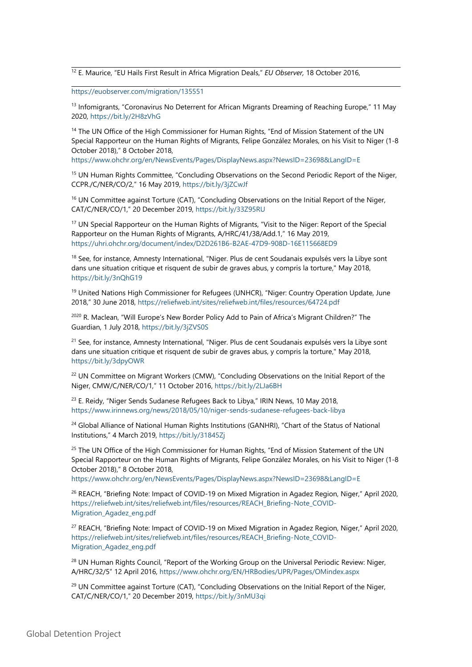12 E. Maurice, "EU Hails First Result in Africa Mi[g](https://euobserver.com/migration/135551)ration Deals," *EU Observer,* 18 October 2016,

<https://euobserver.com/migration/135551>

<sup>13</sup> Infomigrants, "Coronavirus No Deterrent for African Migrants Dreaming of Reaching Europe," 11 May 2020, <https://bit.ly/2H8zVhG>

<sup>14</sup> The UN Office of the High Commissioner for Human Rights, "End of Mission Statement of the UN Special Rapporteur on the Human Rights of Migrants, Felipe González Morales, on his Visit to Niger (1-8 October 2018)," 8 October 2018,

<https://www.ohchr.org/en/NewsEvents/Pages/DisplayNews.aspx?NewsID=23698&LangID=E>

<sup>15</sup> UN Human Rights Committee, "Concluding Observations on the Second Periodic Report of the Niger, CCPR./C/NER/CO/2," 16 May 2019, <https://bit.ly/3jZCwJf>

<sup>16</sup> UN Committee against Torture (CAT), "Concluding Observations on the Initial Report of the Niger, CAT/C/NER/CO/1," 20 December 2019, <https://bit.ly/33Z95RU>

<sup>17</sup> UN Special Rapporteur on the Human Rights of Migrants, "Visit to the Niger: Report of the Special Rapporteur on the Human Rights of Migrants, A/HRC/41/38/Add.1," 16 May 2019, <https://uhri.ohchr.org/document/index/D2D261B6-B2AE-47D9-908D-16E115668ED9>

<sup>18</sup> See, for instance, Amnesty International, "Niger. Plus de cent Soudanais expulsés vers la Libye sont dans une situation critique et risquent de subir de graves abus, y compris la torture," May 2018, <https://bit.ly/3nQhG19>

<sup>19</sup> United Nations High Commissioner for Refugees (UNHCR), "Niger: Country Operation Update, June 2018," 30 June 2018, <https://reliefweb.int/sites/reliefweb.int/files/resources/64724.pdf>

<sup>2020</sup> R. Maclean, "Will Europe's New Border Policy Add to Pain of Africa's Migrant Children?" The Guardian, 1 July 2018, <https://bit.ly/3jZVS0S>

<sup>21</sup> See, for instance, Amnesty International, "Niger. Plus de cent Soudanais expulsés vers la Libye sont dans une situation critique et risquent de subir de graves abus, y compris la torture," May 2018, <https://bit.ly/3dpyOWR>

 $^{22}$  UN Committee on Migrant Workers (CMW), "Concluding Observations on the Initial Report of the Niger, CMW/C/NER/CO/1," 11 October 2016, <https://bit.ly/2LJa6BH>

<sup>23</sup> E. Reidy, "Niger Sends Sudanese Refugees Back to Libya," IRIN News, 10 May 2018, <https://www.irinnews.org/news/2018/05/10/niger-sends-sudanese-refugees-back-libya>

<sup>24</sup> Global Alliance of National Human Rights Institutions (GANHRI), "Chart of the Status of National Institutions," 4 March 2019, <https://bit.ly/31845Zj>

<sup>25</sup> The UN Office of the High Commissioner for Human Rights, "End of Mission Statement of the UN Special Rapporteur on the Human Rights of Migrants, Felipe González Morales, on his Visit to Niger (1-8 October 2018)," 8 October 2018,

<https://www.ohchr.org/en/NewsEvents/Pages/DisplayNews.aspx?NewsID=23698&LangID=E>

<sup>26</sup> REACH, "Briefing Note: Impact of COVID-19 on Mixed Migration in Agadez Region, Niger," April 2020, [https://reliefweb.int/sites/reliefweb.int/files/resources/REACH\\_Briefing-Note\\_COVID-](https://reliefweb.int/sites/reliefweb.int/files/resources/REACH_Briefing-Note_COVID-Migration_Agadez_eng.pdf)[Migration\\_Agadez\\_eng.pdf](https://reliefweb.int/sites/reliefweb.int/files/resources/REACH_Briefing-Note_COVID-Migration_Agadez_eng.pdf)

 $^{27}$  REACH, "Briefing Note: Impact of COVID-19 on Mixed Migration in Agadez Region, Niger," April 2020, [https://reliefweb.int/sites/reliefweb.int/files/resources/REACH\\_Briefing-Note\\_COVID-](https://reliefweb.int/sites/reliefweb.int/files/resources/REACH_Briefing-Note_COVID-Migration_Agadez_eng.pdf)[Migration\\_Agadez\\_eng.pdf](https://reliefweb.int/sites/reliefweb.int/files/resources/REACH_Briefing-Note_COVID-Migration_Agadez_eng.pdf)

 $^{28}$  UN Human Rights Council, "Report of the Working Group on the Universal Periodic Review: Niger, A/HRC/32/5" 12 April 2016, <https://www.ohchr.org/EN/HRBodies/UPR/Pages/OMindex.aspx>

<sup>29</sup> UN Committee against Torture (CAT), "Concluding Observations on the Initial Report of the Niger, CAT/C/NER/CO/1," 20 December 2019, <https://bit.ly/3nMU3qi>